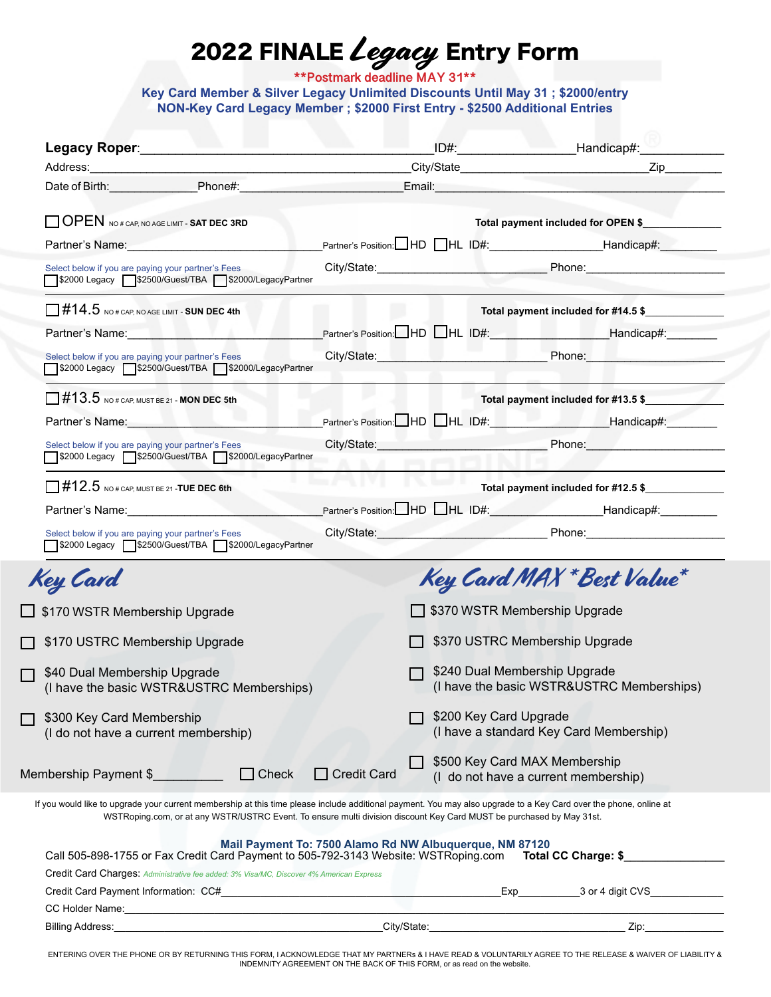## 2022 FINALE *Legacy* Entry Form

**\*\*Postmark deadline MAY 31\*\***

**Key Card Member & Silver Legacy Unlimited Discounts Until May 31 ; \$2000/entry NON-Key Card Legacy Member ; \$2000 First Entry - \$2500 Additional Entries** 

| Legacy Roper:___________                                                                                                                                                                                                       |                                                                                                                                                                                                                                                                                           | _ID#:_____________________________Handicap#:_______________                |
|--------------------------------------------------------------------------------------------------------------------------------------------------------------------------------------------------------------------------------|-------------------------------------------------------------------------------------------------------------------------------------------------------------------------------------------------------------------------------------------------------------------------------------------|----------------------------------------------------------------------------|
|                                                                                                                                                                                                                                |                                                                                                                                                                                                                                                                                           |                                                                            |
| Date of Birth: Phone#: Phone = Phone = 2012                                                                                                                                                                                    |                                                                                                                                                                                                                                                                                           |                                                                            |
| OPEN NO # CAP, NO AGE LIMIT - SAT DEC 3RD                                                                                                                                                                                      |                                                                                                                                                                                                                                                                                           | Total payment included for OPEN \$                                         |
| Partner's Name: Name: Name: Name: Name: Name: Name: Name: Name: Name: Name: Name: Name: Name: Name: Name: Name: Name: Name: Name: Name: Name: Name: Name: Name: Name: Name: Name: Name: Name: Name: Name: Name: Name: Name: Na |                                                                                                                                                                                                                                                                                           | Partner's Position: HD HL ID#: Handicap#:                                  |
| Select below if you are paying your partner's Fees<br>\$2000 Legacy S2500/Guest/TBA \$2000/LegacyPartner                                                                                                                       |                                                                                                                                                                                                                                                                                           | City/State: Phone: Phone: Phone:                                           |
| $\Box$ #14.5 NO# CAP, NO AGE LIMIT - SUN DEC 4th                                                                                                                                                                               |                                                                                                                                                                                                                                                                                           | Total payment included for #14.5 \$                                        |
| Partner's Name: Name: Name: Name: Name: Name: Name: Name: Name: Name: Name: Name: Name: Name: Name: Name: Name: Name: Name: Name: Name: Name: Name: Name: Name: Name: Name: Name: Name: Name: Name: Name: Name: Name: Name: Na |                                                                                                                                                                                                                                                                                           | Partner's Position: HD HL ID#: Note and Handicap#:                         |
| Select below if you are paying your partner's Fees<br>\$2000 Legacy S2500/Guest/TBA \$2000/LegacyPartner                                                                                                                       |                                                                                                                                                                                                                                                                                           | City/State: Phone: Phone: Phone:                                           |
| $\Box$ #13.5 NO# CAP, MUST BE 21 - MON DEC 5th                                                                                                                                                                                 |                                                                                                                                                                                                                                                                                           | Total payment included for #13.5 \$                                        |
|                                                                                                                                                                                                                                | Partner's Name: Handicap#: Flameter's Position: HD HL ID#: Handicap#: Handicap#:                                                                                                                                                                                                          |                                                                            |
| Select below if you are paying your partner's Fees<br>S2000 Legacy S2500/Guest/TBA S2000/LegacyPartner                                                                                                                         |                                                                                                                                                                                                                                                                                           | City/State: Phone: Phone:                                                  |
| $\Box$ #12.5 NO # CAP, MUST BE 21 -TUE DEC 6th                                                                                                                                                                                 |                                                                                                                                                                                                                                                                                           | Total payment included for #12.5 \$                                        |
| Partner's Name: 1999                                                                                                                                                                                                           |                                                                                                                                                                                                                                                                                           | Partner's Position: HD HL ID#: Handicap#: Handicap#:                       |
| Select below if you are paying your partner's Fees<br>1\$2000 Legacy   \$2500/Guest/TBA   \$2000/LegacyPartner                                                                                                                 |                                                                                                                                                                                                                                                                                           | City/State: Phone: Phone:                                                  |
| Key Card                                                                                                                                                                                                                       |                                                                                                                                                                                                                                                                                           | Key Card MAX * Best Value*                                                 |
| \$170 WSTR Membership Upgrade                                                                                                                                                                                                  |                                                                                                                                                                                                                                                                                           | \$370 WSTR Membership Upgrade                                              |
| \$170 USTRC Membership Upgrade                                                                                                                                                                                                 |                                                                                                                                                                                                                                                                                           | \$370 USTRC Membership Upgrade                                             |
| \$40 Dual Membership Upgrade<br>(I have the basic WSTR&USTRC Memberships)                                                                                                                                                      |                                                                                                                                                                                                                                                                                           | \$240 Dual Membership Upgrade<br>(I have the basic WSTR&USTRC Memberships) |
| \$300 Key Card Membership<br>(I do not have a current membership)                                                                                                                                                              |                                                                                                                                                                                                                                                                                           | \$200 Key Card Upgrade<br>(I have a standard Key Card Membership)          |
| Membership Payment \$                                                                                                                                                                                                          | $\Box$ Credit Card<br>$\Box$ Check                                                                                                                                                                                                                                                        | \$500 Key Card MAX Membership<br>(I do not have a current membership)      |
|                                                                                                                                                                                                                                | If you would like to upgrade your current membership at this time please include additional payment. You may also upgrade to a Key Card over the phone, online at<br>WSTRoping.com, or at any WSTR/USTRC Event. To ensure multi division discount Key Card MUST be purchased by May 31st. |                                                                            |
|                                                                                                                                                                                                                                | Mail Payment To: 7500 Alamo Rd NW Albuquerque, NM 87120<br>Call 505-898-1755 or Fax Credit Card Payment to 505-792-3143 Website: WSTRoping.com                                                                                                                                            | Total CC Charge: \$                                                        |
| Credit Card Charges: Administrative fee added: 3% Visa/MC, Discover 4% American Express                                                                                                                                        |                                                                                                                                                                                                                                                                                           |                                                                            |
| Credit Card Payment Information: CC#                                                                                                                                                                                           | the control of the control of the control of the control of the control of the control of                                                                                                                                                                                                 |                                                                            |
| CC Holder Name:                                                                                                                                                                                                                |                                                                                                                                                                                                                                                                                           |                                                                            |

ENTERING OVER THE PHONE OR BY RETURNING THIS FORM, I ACKNOWLEDGE THAT MY PARTNERs & I HAVE READ & VOLUNTARILY AGREE TO THE RELEASE & WAIVER OF LIABILITY & INDEMNITY AGREEMENT ON THE BACK OF THIS FORM, or as read on the website.